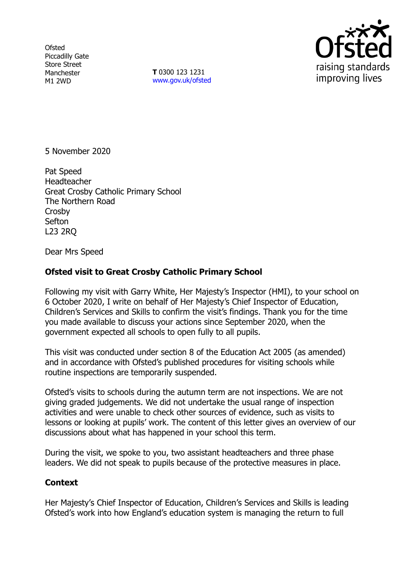**Ofsted** Piccadilly Gate Store Street Manchester M1 2WD

**T** 0300 123 1231 [www.gov.uk/ofsted](http://www.gov.uk/ofsted)



5 November 2020

Pat Speed **Headteacher** Great Crosby Catholic Primary School The Northern Road Crosby Sefton L23 2RQ

Dear Mrs Speed

## **Ofsted visit to Great Crosby Catholic Primary School**

Following my visit with Garry White, Her Majesty's Inspector (HMI), to your school on 6 October 2020, I write on behalf of Her Majesty's Chief Inspector of Education, Children's Services and Skills to confirm the visit's findings. Thank you for the time you made available to discuss your actions since September 2020, when the government expected all schools to open fully to all pupils.

This visit was conducted under section 8 of the Education Act 2005 (as amended) and in accordance with Ofsted's published procedures for visiting schools while routine inspections are temporarily suspended.

Ofsted's visits to schools during the autumn term are not inspections. We are not giving graded judgements. We did not undertake the usual range of inspection activities and were unable to check other sources of evidence, such as visits to lessons or looking at pupils' work. The content of this letter gives an overview of our discussions about what has happened in your school this term.

During the visit, we spoke to you, two assistant headteachers and three phase leaders. We did not speak to pupils because of the protective measures in place.

## **Context**

Her Majesty's Chief Inspector of Education, Children's Services and Skills is leading Ofsted's work into how England's education system is managing the return to full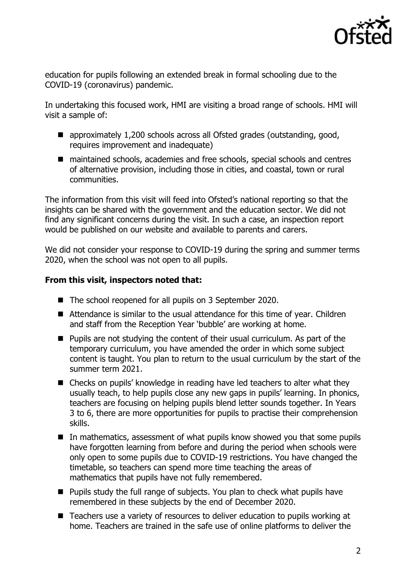

education for pupils following an extended break in formal schooling due to the COVID-19 (coronavirus) pandemic.

In undertaking this focused work, HMI are visiting a broad range of schools. HMI will visit a sample of:

- approximately 1,200 schools across all Ofsted grades (outstanding, good, requires improvement and inadequate)
- maintained schools, academies and free schools, special schools and centres of alternative provision, including those in cities, and coastal, town or rural communities.

The information from this visit will feed into Ofsted's national reporting so that the insights can be shared with the government and the education sector. We did not find any significant concerns during the visit. In such a case, an inspection report would be published on our website and available to parents and carers.

We did not consider your response to COVID-19 during the spring and summer terms 2020, when the school was not open to all pupils.

## **From this visit, inspectors noted that:**

- The school reopened for all pupils on 3 September 2020.
- Attendance is similar to the usual attendance for this time of year. Children and staff from the Reception Year 'bubble' are working at home.
- Pupils are not studying the content of their usual curriculum. As part of the temporary curriculum, you have amended the order in which some subject content is taught. You plan to return to the usual curriculum by the start of the summer term 2021.
- Checks on pupils' knowledge in reading have led teachers to alter what they usually teach, to help pupils close any new gaps in pupils' learning. In phonics, teachers are focusing on helping pupils blend letter sounds together. In Years 3 to 6, there are more opportunities for pupils to practise their comprehension skills.
- $\blacksquare$  In mathematics, assessment of what pupils know showed you that some pupils have forgotten learning from before and during the period when schools were only open to some pupils due to COVID-19 restrictions. You have changed the timetable, so teachers can spend more time teaching the areas of mathematics that pupils have not fully remembered.
- **Pupils study the full range of subjects. You plan to check what pupils have** remembered in these subjects by the end of December 2020.
- Teachers use a variety of resources to deliver education to pupils working at home. Teachers are trained in the safe use of online platforms to deliver the